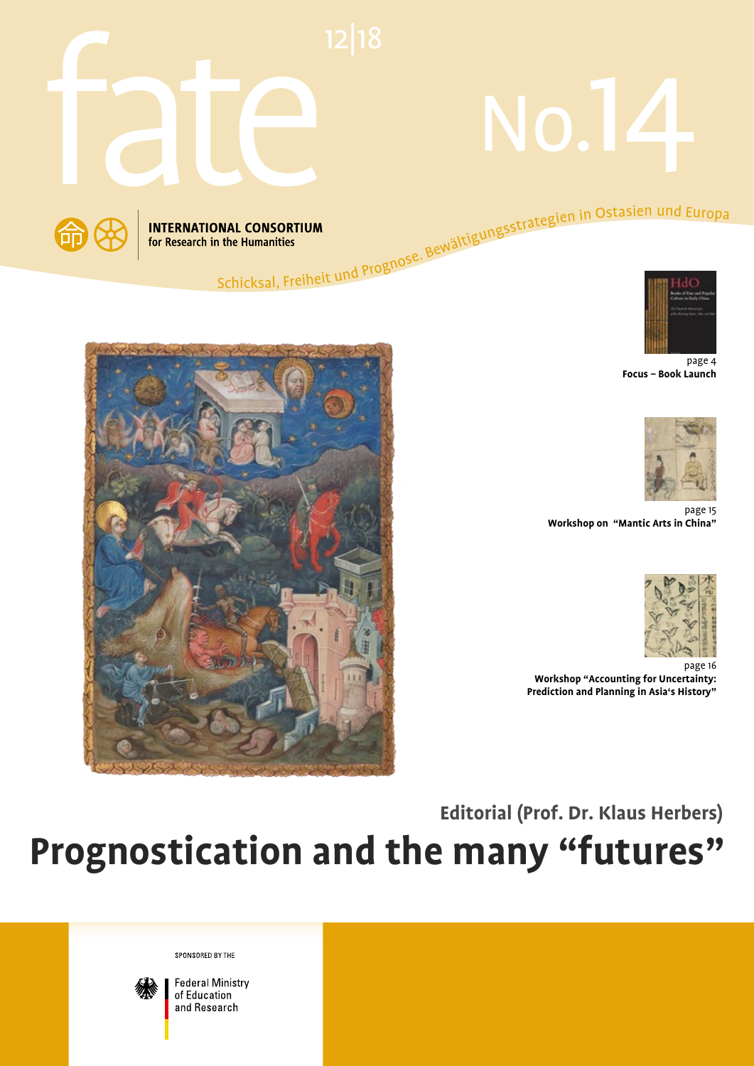

# No. 14





page 4 **Focus – Book Launch**





page 15 **Workshop on "Mantic Arts in China"**



page 16 **Workshop "Accounting for Uncertainty: Prediction and Planning in Asia's History"**

**Editorial (Prof. Dr. Klaus Herbers)**

**Prognostication and the many "futures"**

SPONSORED BY THE



**Federal Ministry** of Education and Research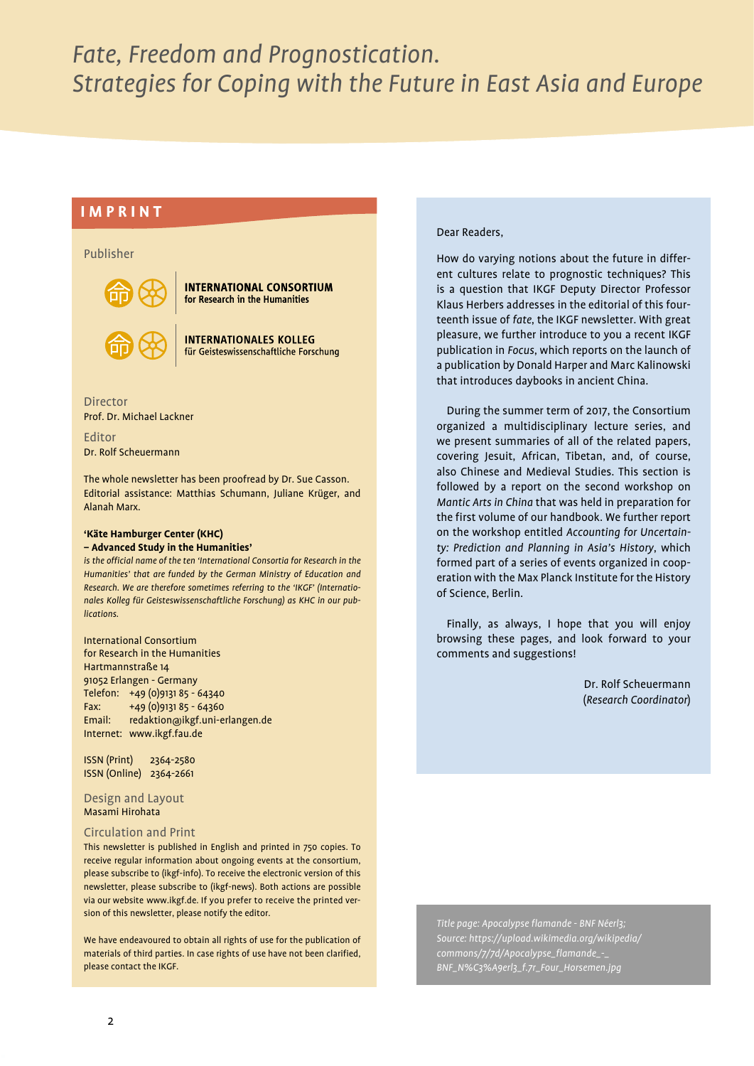#### **IMPRINT**

#### Publisher



**INTERNATIONAL CONSORTIUM** for Research in the Humanities

**INTERNATIONALES KOLLEG** für Geisteswissenschaftliche Forschung

Director Prof. Dr. Michael Lackner

Editor Dr. Rolf Scheuermann

The whole newsletter has been proofread by Dr. Sue Casson. Editorial assistance: Matthias Schumann, Juliane Krüger, and Alanah Marx.

#### **'Käte Hamburger Center (KHC) – Advanced Study in the Humanities'**

*is the official name of the ten 'International Consortia for Research in the Humanities' that are funded by the German Ministry of Education and Research. We are therefore sometimes referring to the 'IKGF' (Internationales Kolleg für Geisteswissenschaftliche Forschung) as KHC in our publications.*

International Consortium for Research in the Humanities Hartmannstraße 14 91052 Erlangen - Germany Telefon: +49 (0)9131 85 - 64340 Fax: +49 (0)9131 85 - 64360 Email: redaktion@ikgf.uni-erlangen.de Internet: www.ikgf.fau.de

ISSN (Print) 2364-2580 ISSN (Online) 2364-2661

Design and Layout Masami Hirohata

#### Circulation and Print

This newsletter is published in English and printed in 750 copies. To receive regular information about ongoing events at the consortium, please subscribe to (ikgf-info). To receive the electronic version of this newsletter, please subscribe to (ikgf-news). Both actions are possible via our website www.ikgf.de. If you prefer to receive the printed version of this newsletter, please notify the editor.

We have endeavoured to obtain all rights of use for the publication of materials of third parties. In case rights of use have not been clarified, please contact the IKGF.

#### Dear Readers,

How do varying notions about the future in different cultures relate to prognostic techniques? This is a question that IKGF Deputy Director Professor Klaus Herbers addresses in the editorial of this fourteenth issue of *fate*, the IKGF newsletter. With great pleasure, we further introduce to you a recent IKGF publication in *Focus*, which reports on the launch of a publication by Donald Harper and Marc Kalinowski that introduces daybooks in ancient China.

During the summer term of 2017, the Consortium organized a multidisciplinary lecture series, and we present summaries of all of the related papers, covering Jesuit, African, Tibetan, and, of course, also Chinese and Medieval Studies. This section is followed by a report on the second workshop on *Mantic Arts in China* that was held in preparation for the first volume of our handbook. We further report on the workshop entitled *Accounting for Uncertainty: Prediction and Planning in Asia's History*, which formed part of a series of events organized in cooperation with the Max Planck Institute for the History of Science, Berlin.

Finally, as always, I hope that you will enjoy browsing these pages, and look forward to your comments and suggestions!

> Dr. Rolf Scheuermann (*Research Coordinator*)

*Title page: Apocalypse flamande - BNF Néerl3; Source: https://upload.wikimedia.org/wikipedia/ commons/7/7d/Apocalypse\_flamande\_-\_ BNF\_N%C3%A9erl3\_f.7r\_Four\_Horsemen.jpg*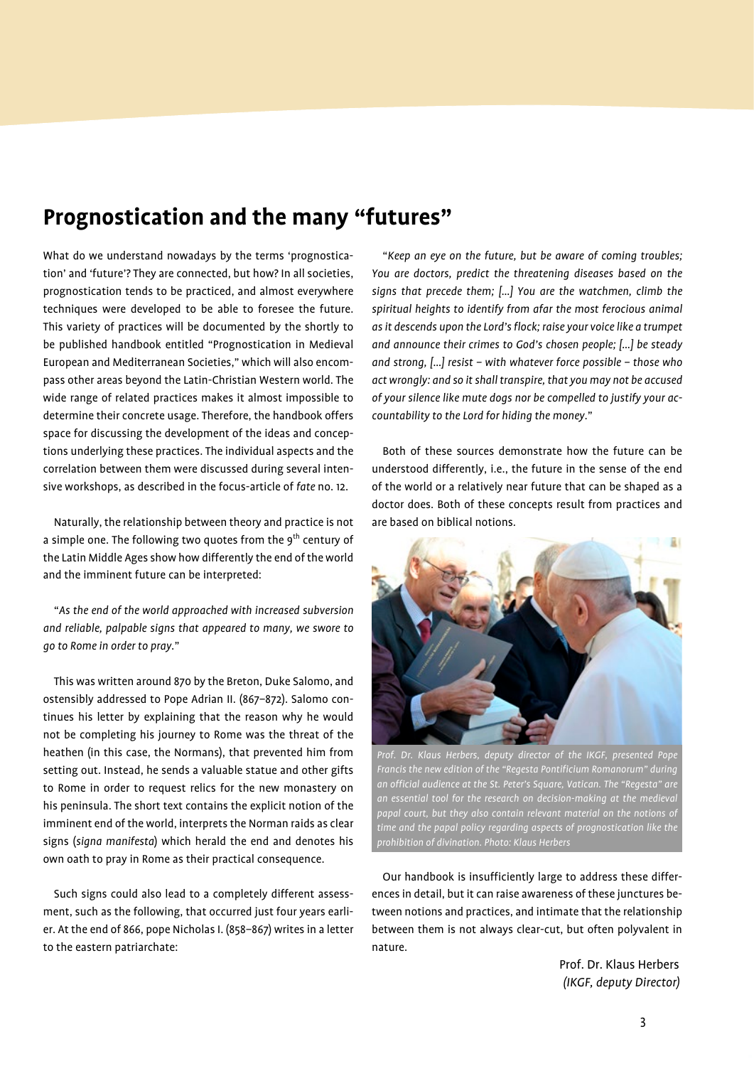## **Prognostication and the many "futures"**

What do we understand nowadays by the terms 'prognostication' and 'future'? They are connected, but how? In all societies, prognostication tends to be practiced, and almost everywhere techniques were developed to be able to foresee the future. This variety of practices will be documented by the shortly to be published handbook entitled "Prognostication in Medieval European and Mediterranean Societies," which will also encompass other areas beyond the Latin-Christian Western world. The wide range of related practices makes it almost impossible to determine their concrete usage. Therefore, the handbook offers space for discussing the development of the ideas and conceptions underlying these practices. The individual aspects and the correlation between them were discussed during several intensive workshops, as described in the focus-article of *fate* no. 12.

Naturally, the relationship between theory and practice is not a simple one. The following two quotes from the 9<sup>th</sup> century of the Latin Middle Ages show how differently the end of the world and the imminent future can be interpreted:

"*As the end of the world approached with increased subversion and reliable, palpable signs that appeared to many, we swore to go to Rome in order to pray.*"

This was written around 870 by the Breton, Duke Salomo, and ostensibly addressed to Pope Adrian II. (867–872). Salomo continues his letter by explaining that the reason why he would not be completing his journey to Rome was the threat of the heathen (in this case, the Normans), that prevented him from setting out. Instead, he sends a valuable statue and other gifts to Rome in order to request relics for the new monastery on his peninsula. The short text contains the explicit notion of the imminent end of the world, interprets the Norman raids as clear signs (*signa manifesta*) which herald the end and denotes his own oath to pray in Rome as their practical consequence.

Such signs could also lead to a completely different assessment, such as the following, that occurred just four years earlier. At the end of 866, pope Nicholas I. (858–867) writes in a letter to the eastern patriarchate:

"*Keep an eye on the future, but be aware of coming troubles; You are doctors, predict the threatening diseases based on the signs that precede them; […] You are the watchmen, climb the spiritual heights to identify from afar the most ferocious animal as it descends upon the Lord's flock; raise your voice like a trumpet and announce their crimes to God's chosen people; […] be steady and strong, […] resist – with whatever force possible – those who act wrongly: and so it shall transpire, that you may not be accused of your silence like mute dogs nor be compelled to justify your accountability to the Lord for hiding the money.*"

Both of these sources demonstrate how the future can be understood differently, i.e., the future in the sense of the end of the world or a relatively near future that can be shaped as a doctor does. Both of these concepts result from practices and are based on biblical notions.



Prof. Dr. Klaus Herbers, deputy director of the IKGF, presented Pope *Francis the new edition of the "Regesta Pontificium Romanorum" during an official audience at the St. Peter's Square, Vatican. The "Regesta" are an essential tool for the research on decision-making at the medieval papal court, but they also contain relevant material on the notions of time and the papal policy regarding aspects of prognostication like the prohibition of divination. Photo: Klaus Herbers*

Our handbook is insufficiently large to address these differences in detail, but it can raise awareness of these junctures between notions and practices, and intimate that the relationship between them is not always clear-cut, but often polyvalent in nature.

> Prof. Dr. Klaus Herbers *(IKGF, deputy Director)*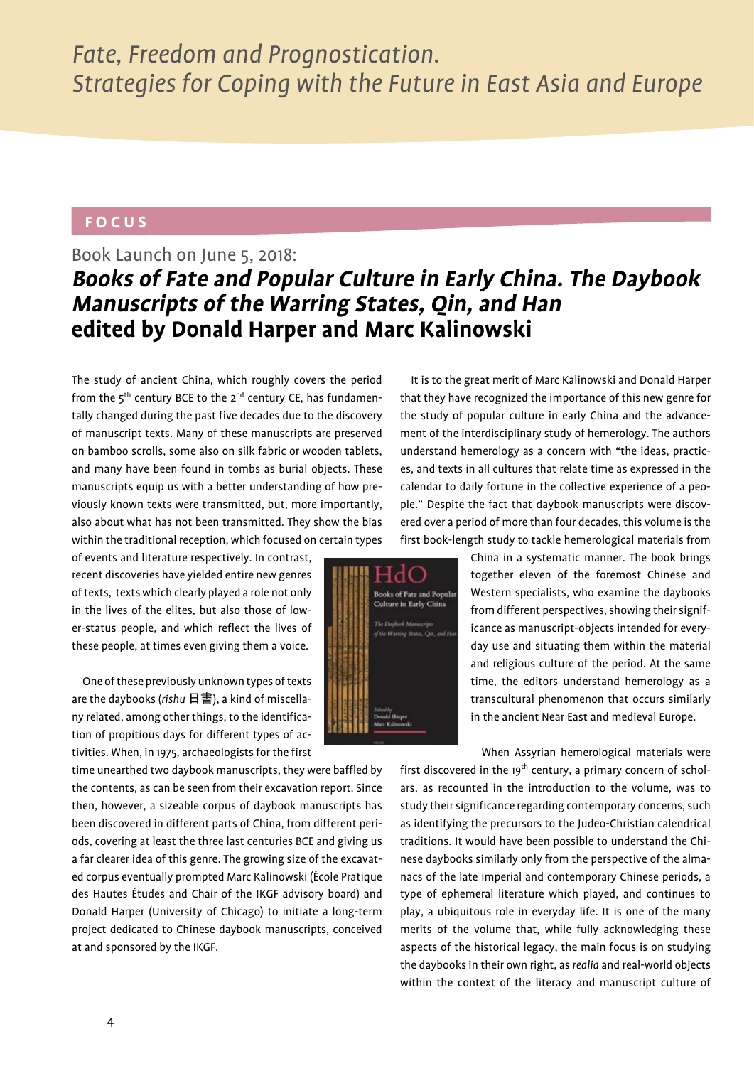#### **FOCUS**

## Book Launch on June 5, 2018: **Books of Fate and Popular Culture in Early China. The Daybook Manuscripts of the Warring States, Qin, and Han edited by Donald Harper and Marc Kalinowski**

The study of ancient China, which roughly covers the period from the  $5<sup>th</sup>$  century BCE to the  $2<sup>nd</sup>$  century CE, has fundamentally changed during the past five decades due to the discovery of manuscript texts. Many of these manuscripts are preserved on bamboo scrolls, some also on silk fabric or wooden tablets, and many have been found in tombs as burial objects. These manuscripts equip us with a better understanding of how previously known texts were transmitted, but, more importantly, also about what has not been transmitted. They show the bias within the traditional reception, which focused on certain types

of events and literature respectively. In contrast, recent discoveries have yielded entire new genres of texts, texts which clearly played a role not only in the lives of the elites, but also those of lower-status people, and which reflect the lives of these people, at times even giving them a voice.

One of these previously unknown types of texts are the daybooks (*rishu* 日書), a kind of miscellany related, among other things, to the identification of propitious days for different types of activities. When, in 1975, archaeologists for the first

time unearthed two daybook manuscripts, they were baffled by the contents, as can be seen from their excavation report. Since then, however, a sizeable corpus of daybook manuscripts has been discovered in different parts of China, from different periods, covering at least the three last centuries BCE and giving us a far clearer idea of this genre. The growing size of the excavated corpus eventually prompted Marc Kalinowski (École Pratique des Hautes Études and Chair of the IKGF advisory board) and Donald Harper (University of Chicago) to initiate a long-term project dedicated to Chinese daybook manuscripts, conceived at and sponsored by the IKGF.

It is to the great merit of Marc Kalinowski and Donald Harper that they have recognized the importance of this new genre for the study of popular culture in early China and the advancement of the interdisciplinary study of hemerology. The authors understand hemerology as a concern with "the ideas, practices, and texts in all cultures that relate time as expressed in the calendar to daily fortune in the collective experience of a people." Despite the fact that daybook manuscripts were discovered over a period of more than four decades, this volume is the first book-length study to tackle hemerological materials from

> China in a systematic manner. The book brings together eleven of the foremost Chinese and Western specialists, who examine the daybooks from different perspectives, showing their significance as manuscript-objects intended for everyday use and situating them within the material and religious culture of the period. At the same time, the editors understand hemerology as a transcultural phenomenon that occurs similarly in the ancient Near East and medieval Europe.

When Assyrian hemerological materials were

first discovered in the  $19<sup>th</sup>$  century, a primary concern of scholars, as recounted in the introduction to the volume, was to study their significance regarding contemporary concerns, such as identifying the precursors to the Judeo-Christian calendrical traditions. It would have been possible to understand the Chinese daybooks similarly only from the perspective of the almanacs of the late imperial and contemporary Chinese periods, a type of ephemeral literature which played, and continues to play, a ubiquitous role in everyday life. It is one of the many merits of the volume that, while fully acknowledging these aspects of the historical legacy, the main focus is on studying the daybooks in their own right, as *realia* and real-world objects within the context of the literacy and manuscript culture of

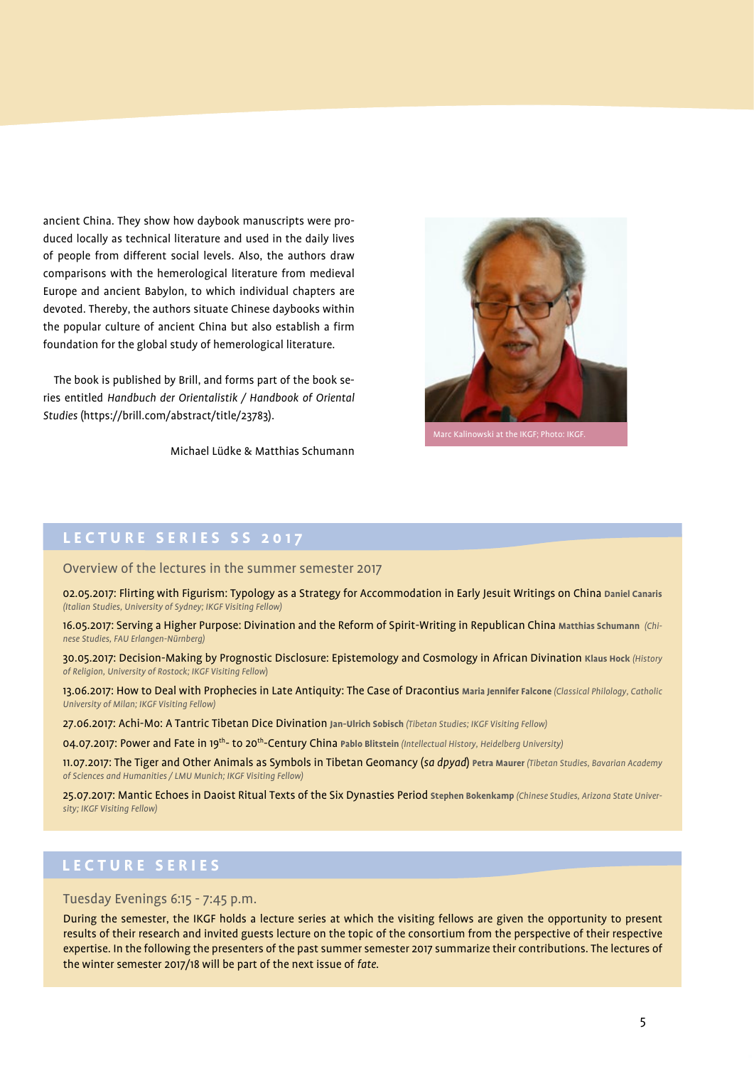ancient China. They show how daybook manuscripts were produced locally as technical literature and used in the daily lives of people from different social levels. Also, the authors draw comparisons with the hemerological literature from medieval Europe and ancient Babylon, to which individual chapters are devoted. Thereby, the authors situate Chinese daybooks within the popular culture of ancient China but also establish a firm foundation for the global study of hemerological literature.

The book is published by Brill, and forms part of the book series entitled *Handbuch der Orientalistik / Handbook of Oriental Studies* (https://brill.com/abstract/title/23783).

Michael Lüdke & Matthias Schumann



#### **LECTURE SERIES SS 2017**

Overview of the lectures in the summer semester 2017

02.05.2017: Flirting with Figurism: Typology as a Strategy for Accommodation in Early Jesuit Writings on China **Daniel Canaris** *(Italian Studies, University of Sydney; IKGF Visiting Fellow)*

16.05.2017: Serving a Higher Purpose: Divination and the Reform of Spirit-Writing in Republican China **Matthias Schumann** *(Chinese Studies, FAU Erlangen-Nürnberg)*

30.05.2017: Decision-Making by Prognostic Disclosure: Epistemology and Cosmology in African Divination **Klaus Hock** *(History of Religion, University of Rostock; IKGF Visiting Fellow*)

13.06.2017: How to Deal with Prophecies in Late Antiquity: The Case of Dracontius **Maria Jennifer Falcone** *(Classical Philology, Catholic University of Milan; IKGF Visiting Fellow)*

27.06.2017: Achi-Mo: A Tantric Tibetan Dice Divination **Jan-Ulrich Sobisch** *(Tibetan Studies; IKGF Visiting Fellow)*

04.07.2017: Power and Fate in 19th- to 20th-Century China **Pablo Blitstein** *(Intellectual History, Heidelberg University)*

11.07.2017: The Tiger and Other Animals as Symbols in Tibetan Geomancy (*sa dpyad*) **Petra Maurer** *(Tibetan Studies, Bavarian Academy of Sciences and Humanities / LMU Munich; IKGF Visiting Fellow)*

25.07.2017: Mantic Echoes in Daoist Ritual Texts of the Six Dynasties Period **Stephen Bokenkamp** *(Chinese Studies, Arizona State University; IKGF Visiting Fellow)*

#### **L E C T U R E S E R I E S**

#### Tuesday Evenings 6:15 - 7:45 p.m.

During the semester, the IKGF holds a lecture series at which the visiting fellows are given the opportunity to present results of their research and invited guests lecture on the topic of the consortium from the perspective of their respective expertise. In the following the presenters of the past summer semester 2017 summarize their contributions. The lectures of the winter semester 2017/18 will be part of the next issue of *fate*.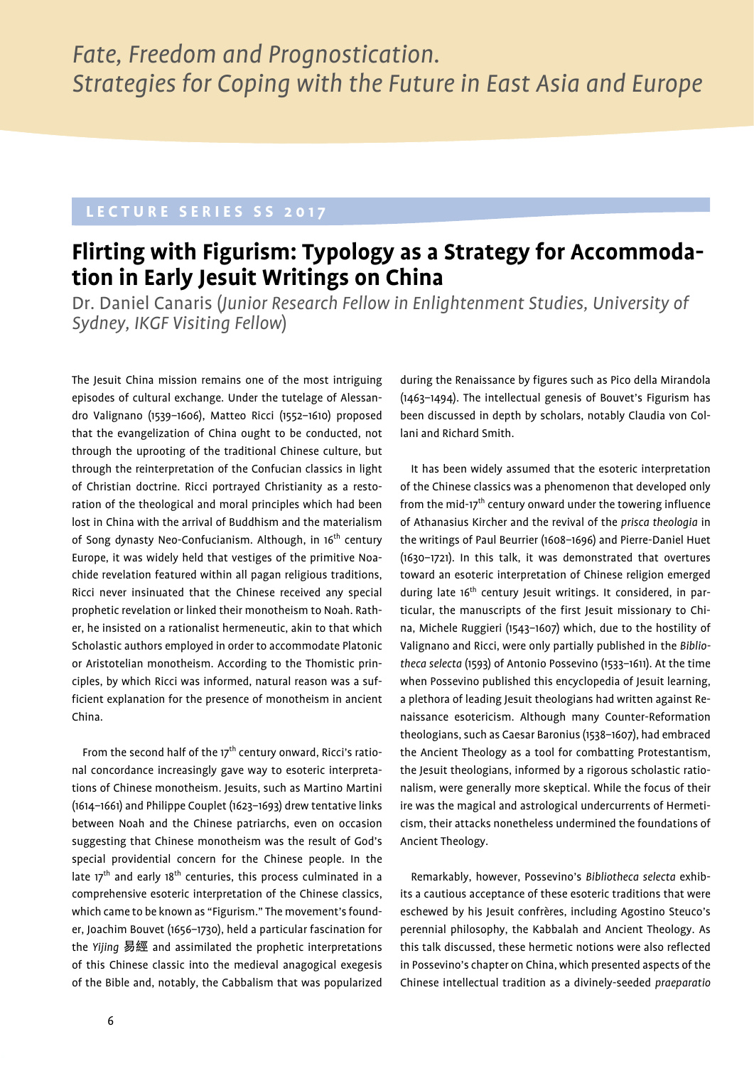### **LECTURE SERIES SS 2017**

## **Flirting with Figurism: Typology as a Strategy for Accommodation in Early Jesuit Writings on China**

Dr. Daniel Canaris (*Junior Research Fellow in Enlightenment Studies, University of Sydney, IKGF Visiting Fellow*)

The Jesuit China mission remains one of the most intriguing episodes of cultural exchange. Under the tutelage of Alessandro Valignano (1539–1606), Matteo Ricci (1552–1610) proposed that the evangelization of China ought to be conducted, not through the uprooting of the traditional Chinese culture, but through the reinterpretation of the Confucian classics in light of Christian doctrine. Ricci portrayed Christianity as a restoration of the theological and moral principles which had been lost in China with the arrival of Buddhism and the materialism of Song dynasty Neo-Confucianism. Although, in 16<sup>th</sup> century Europe, it was widely held that vestiges of the primitive Noachide revelation featured within all pagan religious traditions, Ricci never insinuated that the Chinese received any special prophetic revelation or linked their monotheism to Noah. Rather, he insisted on a rationalist hermeneutic, akin to that which Scholastic authors employed in order to accommodate Platonic or Aristotelian monotheism. According to the Thomistic principles, by which Ricci was informed, natural reason was a sufficient explanation for the presence of monotheism in ancient China.

From the second half of the  $17<sup>th</sup>$  century onward, Ricci's rational concordance increasingly gave way to esoteric interpretations of Chinese monotheism. Jesuits, such as Martino Martini (1614–1661) and Philippe Couplet (1623–1693) drew tentative links between Noah and the Chinese patriarchs, even on occasion suggesting that Chinese monotheism was the result of God's special providential concern for the Chinese people. In the late 17<sup>th</sup> and early 18<sup>th</sup> centuries, this process culminated in a comprehensive esoteric interpretation of the Chinese classics, which came to be known as "Figurism." The movement's founder, Joachim Bouvet (1656–1730), held a particular fascination for the *Yijing* 易經 and assimilated the prophetic interpretations of this Chinese classic into the medieval anagogical exegesis of the Bible and, notably, the Cabbalism that was popularized

during the Renaissance by figures such as Pico della Mirandola (1463–1494). The intellectual genesis of Bouvet's Figurism has been discussed in depth by scholars, notably Claudia von Collani and Richard Smith.

It has been widely assumed that the esoteric interpretation of the Chinese classics was a phenomenon that developed only from the mid-17<sup>th</sup> century onward under the towering influence of Athanasius Kircher and the revival of the *prisca theologia* in the writings of Paul Beurrier (1608–1696) and Pierre-Daniel Huet (1630–1721). In this talk, it was demonstrated that overtures toward an esoteric interpretation of Chinese religion emerged during late 16<sup>th</sup> century Jesuit writings. It considered, in particular, the manuscripts of the first Jesuit missionary to China, Michele Ruggieri (1543–1607) which, due to the hostility of Valignano and Ricci, were only partially published in the *Bibliotheca selecta* (1593) of Antonio Possevino (1533–1611). At the time when Possevino published this encyclopedia of Jesuit learning, a plethora of leading Jesuit theologians had written against Renaissance esotericism. Although many Counter-Reformation theologians, such as Caesar Baronius (1538–1607), had embraced the Ancient Theology as a tool for combatting Protestantism, the Jesuit theologians, informed by a rigorous scholastic rationalism, were generally more skeptical. While the focus of their ire was the magical and astrological undercurrents of Hermeticism, their attacks nonetheless undermined the foundations of Ancient Theology.

Remarkably, however, Possevino's *Bibliotheca selecta* exhibits a cautious acceptance of these esoteric traditions that were eschewed by his Jesuit confrères, including Agostino Steuco's perennial philosophy, the Kabbalah and Ancient Theology. As this talk discussed, these hermetic notions were also reflected in Possevino's chapter on China, which presented aspects of the Chinese intellectual tradition as a divinely-seeded *praeparatio*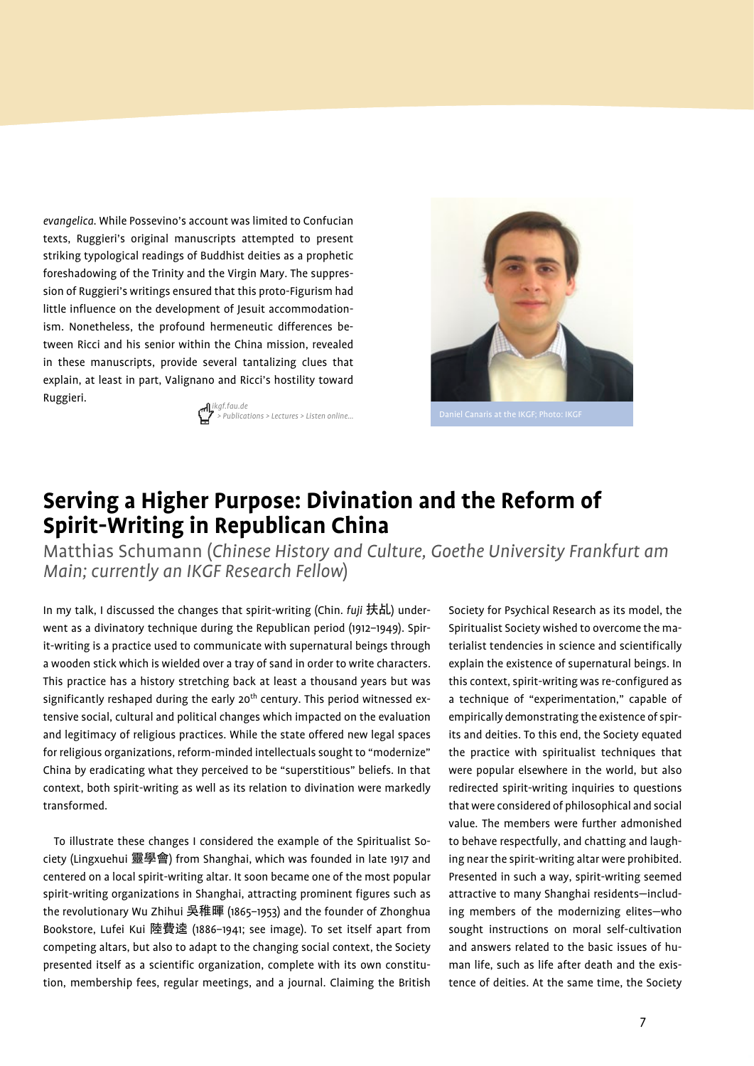*evangelica*. While Possevino's account was limited to Confucian texts, Ruggieri's original manuscripts attempted to present striking typological readings of Buddhist deities as a prophetic foreshadowing of the Trinity and the Virgin Mary. The suppression of Ruggieri's writings ensured that this proto-Figurism had little influence on the development of Jesuit accommodationism. Nonetheless, the profound hermeneutic differences between Ricci and his senior within the China mission, revealed in these manuscripts, provide several tantalizing clues that explain, at least in part, Valignano and Ricci's hostility toward Ruggieri. *ikgf.fau.de*





## **Serving a Higher Purpose: Divination and the Reform of Spirit-Writing in Republican China**

Matthias Schumann (*Chinese History and Culture, Goethe University Frankfurt am Main; currently an IKGF Research Fellow*)

In my talk, I discussed the changes that spirit-writing (Chin. *fuji* 扶乩) underwent as a divinatory technique during the Republican period (1912–1949). Spirit-writing is a practice used to communicate with supernatural beings through a wooden stick which is wielded over a tray of sand in order to write characters. This practice has a history stretching back at least a thousand years but was significantly reshaped during the early 20<sup>th</sup> century. This period witnessed extensive social, cultural and political changes which impacted on the evaluation and legitimacy of religious practices. While the state offered new legal spaces for religious organizations, reform-minded intellectuals sought to "modernize" China by eradicating what they perceived to be "superstitious" beliefs. In that context, both spirit-writing as well as its relation to divination were markedly transformed.

To illustrate these changes I considered the example of the Spiritualist Society (Lingxuehui 靈學會) from Shanghai, which was founded in late 1917 and centered on a local spirit-writing altar. It soon became one of the most popular spirit-writing organizations in Shanghai, attracting prominent figures such as the revolutionary Wu Zhihui 吳稚暉 (1865–1953) and the founder of Zhonghua Bookstore, Lufei Kui 陸費逵 (1886–1941; see image). To set itself apart from competing altars, but also to adapt to the changing social context, the Society presented itself as a scientific organization, complete with its own constitution, membership fees, regular meetings, and a journal. Claiming the British

Society for Psychical Research as its model, the Spiritualist Society wished to overcome the materialist tendencies in science and scientifically explain the existence of supernatural beings. In this context, spirit-writing was re-configured as a technique of "experimentation," capable of empirically demonstrating the existence of spirits and deities. To this end, the Society equated the practice with spiritualist techniques that were popular elsewhere in the world, but also redirected spirit-writing inquiries to questions that were considered of philosophical and social value. The members were further admonished to behave respectfully, and chatting and laughing near the spirit-writing altar were prohibited. Presented in such a way, spirit-writing seemed attractive to many Shanghai residents—including members of the modernizing elites—who sought instructions on moral self-cultivation and answers related to the basic issues of human life, such as life after death and the existence of deities. At the same time, the Society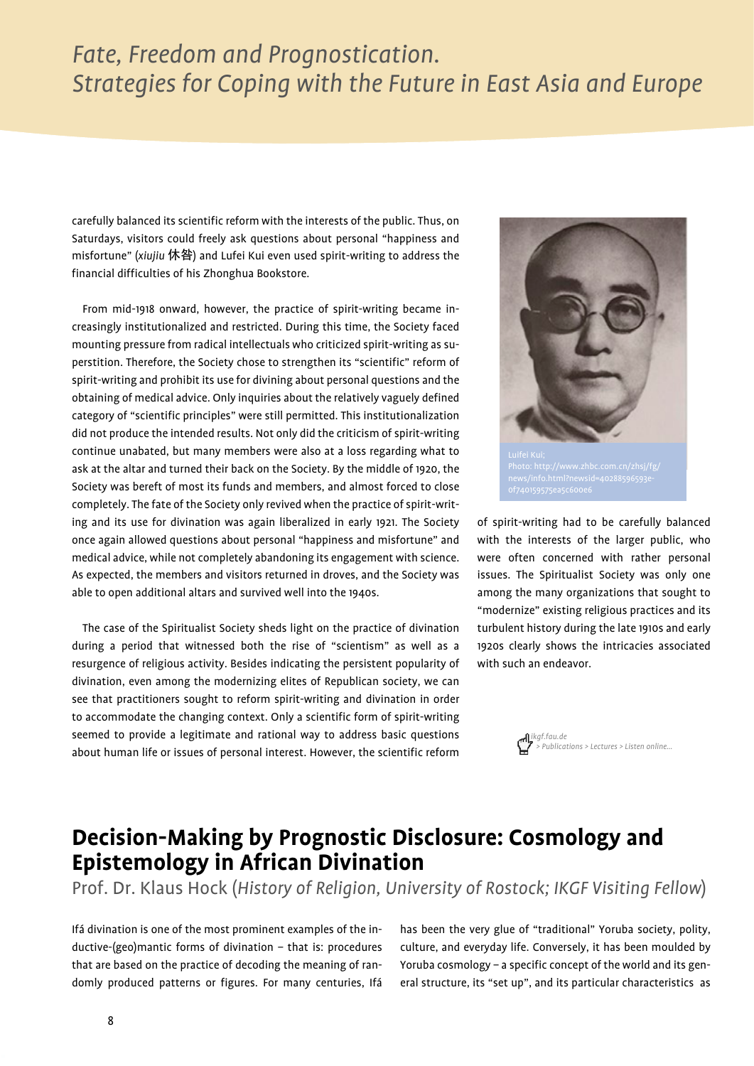carefully balanced its scientific reform with the interests of the public. Thus, on Saturdays, visitors could freely ask questions about personal "happiness and misfortune" (*xiujiu* 休咎) and Lufei Kui even used spirit-writing to address the financial difficulties of his Zhonghua Bookstore.

From mid-1918 onward, however, the practice of spirit-writing became increasingly institutionalized and restricted. During this time, the Society faced mounting pressure from radical intellectuals who criticized spirit-writing as superstition. Therefore, the Society chose to strengthen its "scientific" reform of spirit-writing and prohibit its use for divining about personal questions and the obtaining of medical advice. Only inquiries about the relatively vaguely defined category of "scientific principles" were still permitted. This institutionalization did not produce the intended results. Not only did the criticism of spirit-writing continue unabated, but many members were also at a loss regarding what to ask at the altar and turned their back on the Society. By the middle of 1920, the Society was bereft of most its funds and members, and almost forced to close completely. The fate of the Society only revived when the practice of spirit-writing and its use for divination was again liberalized in early 1921. The Society once again allowed questions about personal "happiness and misfortune" and medical advice, while not completely abandoning its engagement with science. As expected, the members and visitors returned in droves, and the Society was able to open additional altars and survived well into the 1940s.

The case of the Spiritualist Society sheds light on the practice of divination during a period that witnessed both the rise of "scientism" as well as a resurgence of religious activity. Besides indicating the persistent popularity of divination, even among the modernizing elites of Republican society, we can see that practitioners sought to reform spirit-writing and divination in order to accommodate the changing context. Only a scientific form of spirit-writing seemed to provide a legitimate and rational way to address basic questions about human life or issues of personal interest. However, the scientific reform



Photo: http://www.zhbc.com.cn/zhsj/fg/

of spirit-writing had to be carefully balanced with the interests of the larger public, who were often concerned with rather personal issues. The Spiritualist Society was only one among the many organizations that sought to "modernize" existing religious practices and its turbulent history during the late 1910s and early 1920s clearly shows the intricacies associated with such an endeavor.

## **Decision-Making by Prognostic Disclosure: Cosmology and Epistemology in African Divination**

Prof. Dr. Klaus Hock (*History of Religion, University of Rostock; IKGF Visiting Fellow*)

Ifá divination is one of the most prominent examples of the inductive-(geo)mantic forms of divination – that is: procedures that are based on the practice of decoding the meaning of randomly produced patterns or figures. For many centuries, Ifá has been the very glue of "traditional" Yoruba society, polity, culture, and everyday life. Conversely, it has been moulded by Yoruba cosmology – a specific concept of the world and its general structure, its "set up", and its particular characteristics as

*ikgf.fau.de > Publications > Lectures > Listen online…*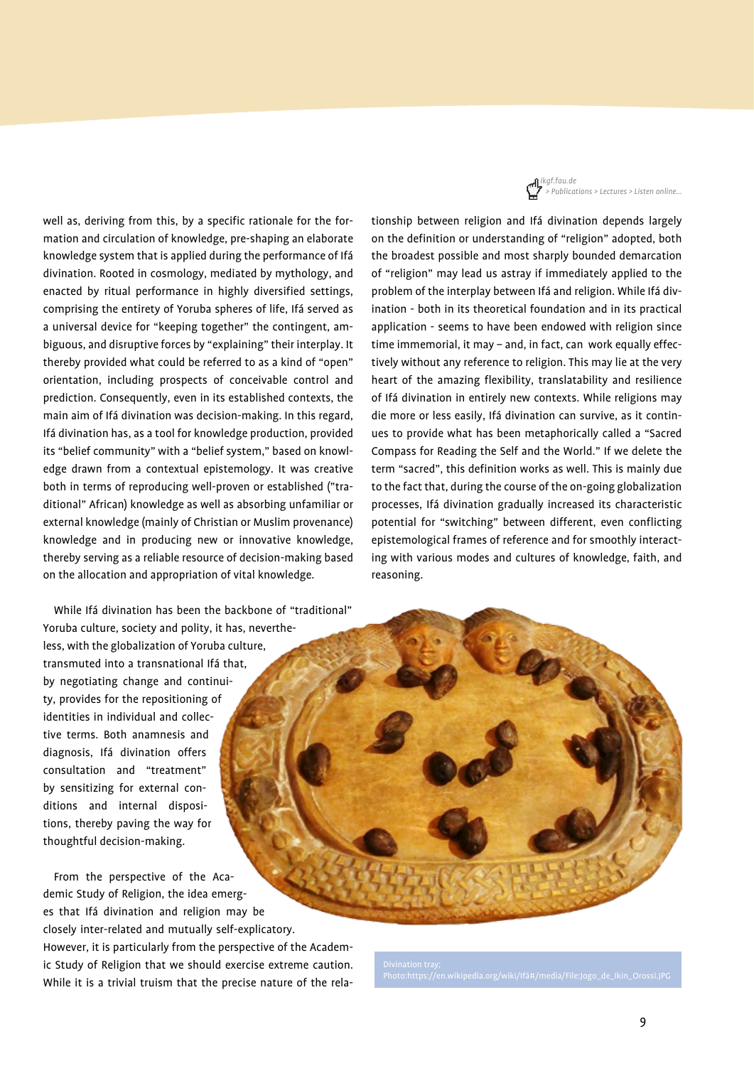*ikgf.fau.de > Publications > Lectures > Listen online…*

well as, deriving from this, by a specific rationale for the formation and circulation of knowledge, pre-shaping an elaborate knowledge system that is applied during the performance of Ifá divination. Rooted in cosmology, mediated by mythology, and enacted by ritual performance in highly diversified settings, comprising the entirety of Yoruba spheres of life, Ifá served as a universal device for "keeping together" the contingent, ambiguous, and disruptive forces by "explaining" their interplay. It thereby provided what could be referred to as a kind of "open" orientation, including prospects of conceivable control and prediction. Consequently, even in its established contexts, the main aim of Ifá divination was decision-making. In this regard, Ifá divination has, as a tool for knowledge production, provided its "belief community" with a "belief system," based on knowledge drawn from a contextual epistemology. It was creative both in terms of reproducing well-proven or established ("traditional" African) knowledge as well as absorbing unfamiliar or external knowledge (mainly of Christian or Muslim provenance) knowledge and in producing new or innovative knowledge, thereby serving as a reliable resource of decision-making based on the allocation and appropriation of vital knowledge.

While Ifá divination has been the backbone of "traditional" Yoruba culture, society and polity, it has, nevertheless, with the globalization of Yoruba culture, transmuted into a transnational Ifá that, by negotiating change and continuity, provides for the repositioning of identities in individual and collective terms. Both anamnesis and diagnosis, Ifá divination offers consultation and "treatment" by sensitizing for external conditions and internal dispositions, thereby paving the way for thoughtful decision-making.

From the perspective of the Academic Study of Religion, the idea emerges that Ifá divination and religion may be closely inter-related and mutually self-explicatory. However, it is particularly from the perspective of the Academic Study of Religion that we should exercise extreme caution. While it is a trivial truism that the precise nature of the relationship between religion and Ifá divination depends largely on the definition or understanding of "religion" adopted, both the broadest possible and most sharply bounded demarcation of "religion" may lead us astray if immediately applied to the problem of the interplay between Ifá and religion. While Ifá divination - both in its theoretical foundation and in its practical application - seems to have been endowed with religion since time immemorial, it may – and, in fact, can work equally effectively without any reference to religion. This may lie at the very heart of the amazing flexibility, translatability and resilience of Ifá divination in entirely new contexts. While religions may die more or less easily, Ifá divination can survive, as it continues to provide what has been metaphorically called a "Sacred Compass for Reading the Self and the World." If we delete the term "sacred", this definition works as well. This is mainly due to the fact that, during the course of the on-going globalization processes, Ifá divination gradually increased its characteristic potential for "switching" between different, even conflicting epistemological frames of reference and for smoothly interacting with various modes and cultures of knowledge, faith, and reasoning.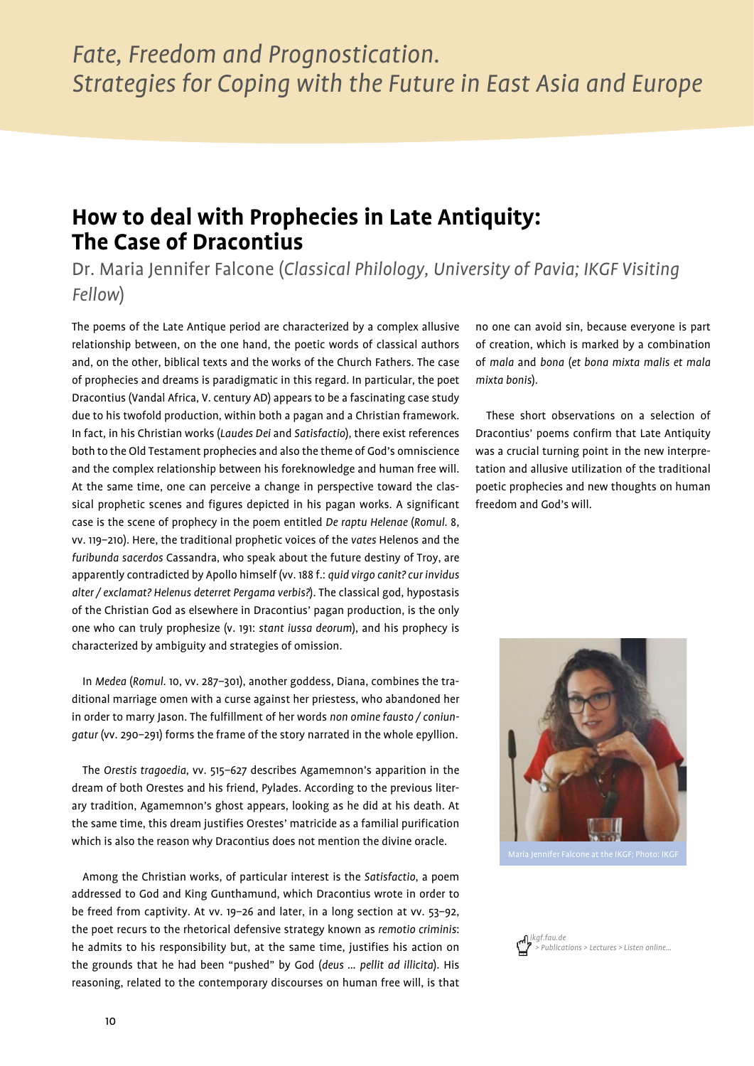## **How to deal with Prophecies in Late Antiquity: The Case of Dracontius**

Dr. Maria Jennifer Falcone (*Classical Philology, University of Pavia; IKGF Visiting Fellow*)

The poems of the Late Antique period are characterized by a complex allusive relationship between, on the one hand, the poetic words of classical authors and, on the other, biblical texts and the works of the Church Fathers. The case of prophecies and dreams is paradigmatic in this regard. In particular, the poet Dracontius (Vandal Africa, V. century AD) appears to be a fascinating case study due to his twofold production, within both a pagan and a Christian framework. In fact, in his Christian works (*Laudes Dei* and *Satisfactio*), there exist references both to the Old Testament prophecies and also the theme of God's omniscience and the complex relationship between his foreknowledge and human free will. At the same time, one can perceive a change in perspective toward the classical prophetic scenes and figures depicted in his pagan works. A significant case is the scene of prophecy in the poem entitled *De raptu Helenae* (*Romul*. 8, vv. 119–210). Here, the traditional prophetic voices of the *vates* Helenos and the *furibunda sacerdos* Cassandra, who speak about the future destiny of Troy, are apparently contradicted by Apollo himself (vv. 188 f.: *quid virgo canit? cur invidus alter / exclamat? Helenus deterret Pergama verbis?*). The classical god, hypostasis of the Christian God as elsewhere in Dracontius' pagan production, is the only one who can truly prophesize (v. 191: *stant iussa deorum*), and his prophecy is characterized by ambiguity and strategies of omission.

In *Medea* (*Romul*. 10, vv. 287–301), another goddess, Diana, combines the traditional marriage omen with a curse against her priestess, who abandoned her in order to marry Jason. The fulfillment of her words *non omine fausto / coniungatur* (vv. 290–291) forms the frame of the story narrated in the whole epyllion.

The *Orestis tragoedia*, vv. 515–627 describes Agamemnon's apparition in the dream of both Orestes and his friend, Pylades. According to the previous literary tradition, Agamemnon's ghost appears, looking as he did at his death. At the same time, this dream justifies Orestes' matricide as a familial purification which is also the reason why Dracontius does not mention the divine oracle.

Among the Christian works, of particular interest is the *Satisfactio*, a poem addressed to God and King Gunthamund, which Dracontius wrote in order to be freed from captivity. At vv. 19–26 and later, in a long section at vv. 53–92, the poet recurs to the rhetorical defensive strategy known as *remotio criminis*: he admits to his responsibility but, at the same time, justifies his action on the grounds that he had been "pushed" by God (*deus … pellit ad illicita*). His reasoning, related to the contemporary discourses on human free will, is that no one can avoid sin, because everyone is part of creation, which is marked by a combination of *mala* and *bona* (*et bona mixta malis et mala mixta bonis*).

These short observations on a selection of Dracontius' poems confirm that Late Antiquity was a crucial turning point in the new interpretation and allusive utilization of the traditional poetic prophecies and new thoughts on human freedom and God's will.



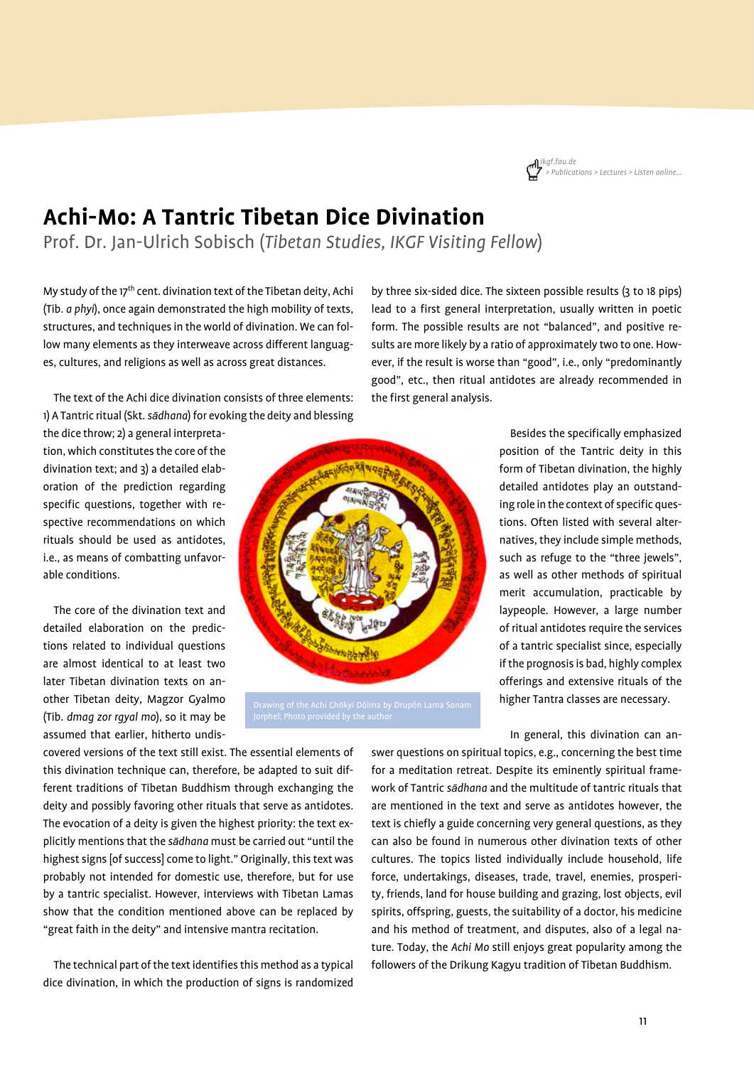## **Achi-Mo: A Tantric Tibetan Dice Divination**

Prof. Dr. Jan-Ulrich Sobisch (*Tibetan Studies, IKGF Visiting Fellow*)

My study of the  $17<sup>th</sup>$  cent. divination text of the Tibetan deity, Achi (Tib. *a phyi*), once again demonstrated the high mobility of texts, structures, and techniques in the world of divination. We can follow many elements as they interweave across different languages, cultures, and religions as well as across great distances.

The text of the Achi dice divination consists of three elements: 1) A Tantric ritual (Skt. *sādhana*) for evoking the deity and blessing

the dice throw; 2) a general interpretation, which constitutes the core of the divination text; and 3) a detailed elaboration of the prediction regarding specific questions, together with respective recommendations on which rituals should be used as antidotes, i.e., as means of combatting unfavorable conditions.

The core of the divination text and detailed elaboration on the predictions related to individual questions are almost identical to at least two later Tibetan divination texts on another Tibetan deity, Magzor Gyalmo (Tib. *dmag zor rgyal mo*), so it may be assumed that earlier, hitherto undis-



the first general analysis.

detailed antidotes play an outstanding role in the context of specific questions. Often listed with several alternatives, they include simple methods, such as refuge to the "three jewels", as well as other methods of spiritual merit accumulation, practicable by laypeople. However, a large number of ritual antidotes require the services

by three six-sided dice. The sixteen possible results (3 to 18 pips) lead to a first general interpretation, usually written in poetic form. The possible results are not "balanced", and positive results are more likely by a ratio of approximately two to one. However, if the result is worse than "good", i.e., only "predominantly good", etc., then ritual antidotes are already recommended in

> of a tantric specialist since, especially if the prognosis is bad, highly complex offerings and extensive rituals of the higher Tantra classes are necessary.

Besides the specifically emphasized position of the Tantric deity in this form of Tibetan divination, the highly

In general, this divination can an-

covered versions of the text still exist. The essential elements of this divination technique can, therefore, be adapted to suit different traditions of Tibetan Buddhism through exchanging the deity and possibly favoring other rituals that serve as antidotes. The evocation of a deity is given the highest priority: the text explicitly mentions that the *sādhana* must be carried out "until the highest signs [of success] come to light." Originally, this text was probably not intended for domestic use, therefore, but for use by a tantric specialist. However, interviews with Tibetan Lamas show that the condition mentioned above can be replaced by "great faith in the deity" and intensive mantra recitation.

The technical part of the text identifies this method as a typical dice divination, in which the production of signs is randomized

swer questions on spiritual topics, e.g., concerning the best time for a meditation retreat. Despite its eminently spiritual framework of Tantric *sādhana* and the multitude of tantric rituals that are mentioned in the text and serve as antidotes however, the text is chiefly a guide concerning very general questions, as they can also be found in numerous other divination texts of other cultures. The topics listed individually include household, life force, undertakings, diseases, trade, travel, enemies, prosperity, friends, land for house building and grazing, lost objects, evil spirits, offspring, guests, the suitability of a doctor, his medicine and his method of treatment, and disputes, also of a legal nature. Today, the *Achi Mo* still enjoys great popularity among the followers of the Drikung Kagyu tradition of Tibetan Buddhism.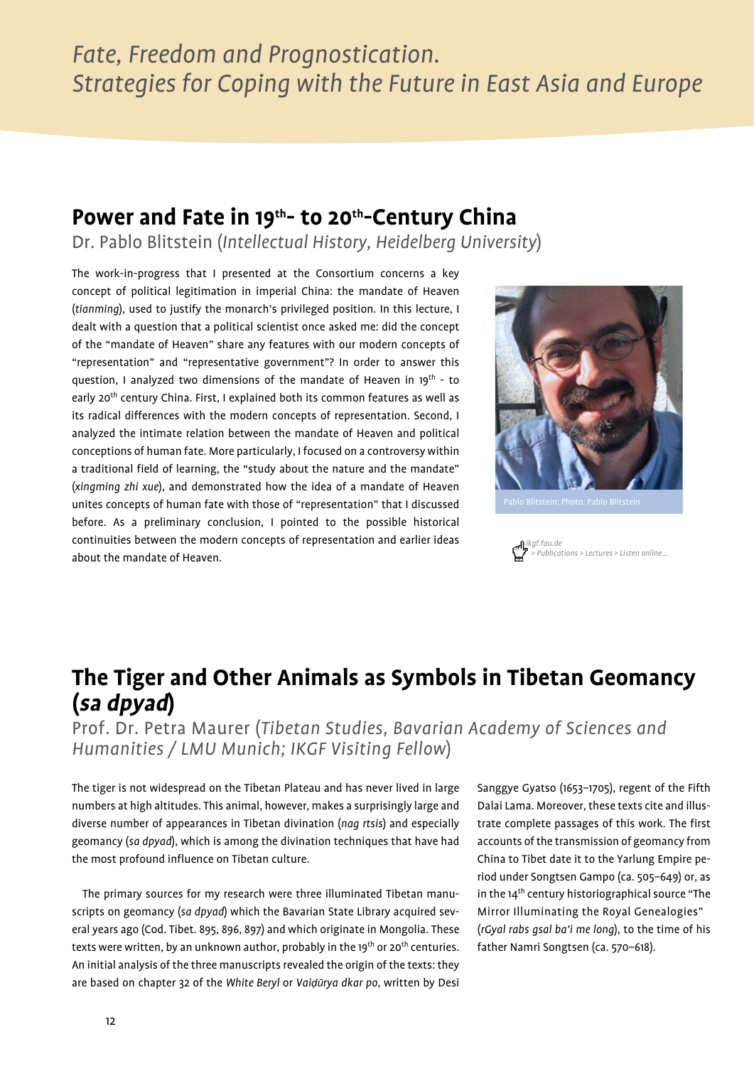## Power and Fate in 19<sup>th</sup>- to 20<sup>th</sup>-Century China

Dr. Pablo Blitstein (*Intellectual History, Heidelberg University*)

The work-in-progress that I presented at the Consortium concerns a key concept of political legitimation in imperial China: the mandate of Heaven (*tianming*), used to justify the monarch's privileged position. In this lecture, I dealt with a question that a political scientist once asked me: did the concept of the "mandate of Heaven" share any features with our modern concepts of "representation" and "representative government"? In order to answer this question, I analyzed two dimensions of the mandate of Heaven in 19<sup>th</sup> - to early 20<sup>th</sup> century China. First, I explained both its common features as well as its radical differences with the modern concepts of representation. Second, I analyzed the intimate relation between the mandate of Heaven and political conceptions of human fate. More particularly, I focused on a controversy within a traditional field of learning, the "study about the nature and the mandate" (*xingming zhi xue*), and demonstrated how the idea of a mandate of Heaven unites concepts of human fate with those of "representation" that I discussed before. As a preliminary conclusion, I pointed to the possible historical continuities between the modern concepts of representation and earlier ideas about the mandate of Heaven.



*ikgf.fau.de > Publications > Lectures > Listen online…*

## **The Tiger and Other Animals as Symbols in Tibetan Geomancy (sa dpyad)**

Prof. Dr. Petra Maurer (*Tibetan Studies, Bavarian Academy of Sciences and Humanities / LMU Munich; IKGF Visiting Fellow*)

The tiger is not widespread on the Tibetan Plateau and has never lived in large numbers at high altitudes. This animal, however, makes a surprisingly large and diverse number of appearances in Tibetan divination (*nag rtsis*) and especially geomancy (*sa dpyad*), which is among the divination techniques that have had the most profound influence on Tibetan culture.

The primary sources for my research were three illuminated Tibetan manuscripts on geomancy (*sa dpyad*) which the Bavarian State Library acquired several years ago (Cod. Tibet. 895, 896, 897) and which originate in Mongolia. These texts were written, by an unknown author, probably in the 19<sup>th</sup> or 20<sup>th</sup> centuries. An initial analysis of the three manuscripts revealed the origin of the texts: they are based on chapter 32 of the *White Beryl* or *Vaiḍūrya dkar po*, written by Desi Sanggye Gyatso (1653–1705), regent of the Fifth Dalai Lama. Moreover, these texts cite and illustrate complete passages of this work. The first accounts of the transmission of geomancy from China to Tibet date it to the Yarlung Empire period under Songtsen Gampo (ca. 505–649) or, as in the  $14<sup>th</sup>$  century historiographical source "The Mirror Illuminating the Royal Genealogies" (*rGyal rabs gsal ba'i me long*), to the time of his father Namri Songtsen (ca. 570–618).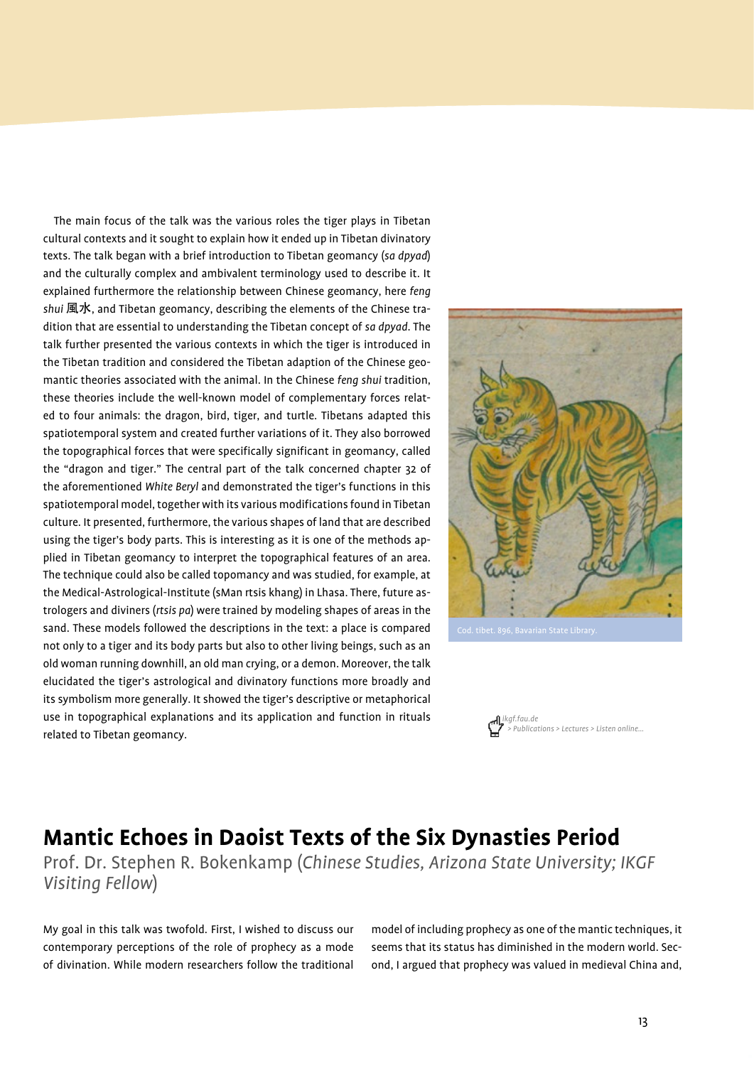The main focus of the talk was the various roles the tiger plays in Tibetan cultural contexts and it sought to explain how it ended up in Tibetan divinatory texts. The talk began with a brief introduction to Tibetan geomancy (*sa dpyad*) and the culturally complex and ambivalent terminology used to describe it. It explained furthermore the relationship between Chinese geomancy, here *feng shui* 風水, and Tibetan geomancy, describing the elements of the Chinese tradition that are essential to understanding the Tibetan concept of *sa dpyad*. The talk further presented the various contexts in which the tiger is introduced in the Tibetan tradition and considered the Tibetan adaption of the Chinese geomantic theories associated with the animal. In the Chinese *feng shui* tradition, these theories include the well-known model of complementary forces related to four animals: the dragon, bird, tiger, and turtle. Tibetans adapted this spatiotemporal system and created further variations of it. They also borrowed the topographical forces that were specifically significant in geomancy, called the "dragon and tiger." The central part of the talk concerned chapter 32 of the aforementioned *White Beryl* and demonstrated the tiger's functions in this spatiotemporal model, together with its various modifications found in Tibetan culture. It presented, furthermore, the various shapes of land that are described using the tiger's body parts. This is interesting as it is one of the methods applied in Tibetan geomancy to interpret the topographical features of an area. The technique could also be called topomancy and was studied, for example, at the Medical-Astrological-Institute (sMan rtsis khang) in Lhasa. There, future astrologers and diviners (*rtsis pa*) were trained by modeling shapes of areas in the sand. These models followed the descriptions in the text: a place is compared not only to a tiger and its body parts but also to other living beings, such as an old woman running downhill, an old man crying, or a demon. Moreover, the talk elucidated the tiger's astrological and divinatory functions more broadly and its symbolism more generally. It showed the tiger's descriptive or metaphorical use in topographical explanations and its application and function in rituals related to Tibetan geomancy.





## **Mantic Echoes in Daoist Texts of the Six Dynasties Period**

Prof. Dr. Stephen R. Bokenkamp (*Chinese Studies, Arizona State University; IKGF Visiting Fellow*)

My goal in this talk was twofold. First, I wished to discuss our contemporary perceptions of the role of prophecy as a mode of divination. While modern researchers follow the traditional

model of including prophecy as one of the mantic techniques, it seems that its status has diminished in the modern world. Second, I argued that prophecy was valued in medieval China and,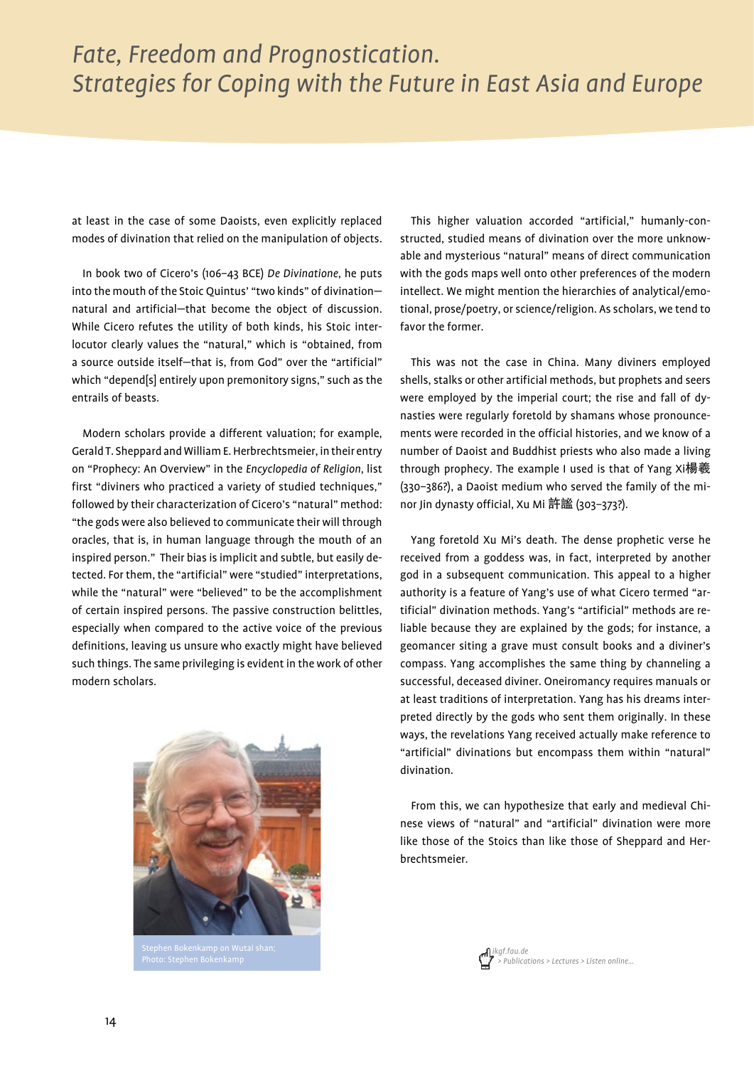at least in the case of some Daoists, even explicitly replaced modes of divination that relied on the manipulation of objects.

In book two of Cicero's (106–43 BCE) *De Divinatione*, he puts into the mouth of the Stoic Quintus' "two kinds" of divination natural and artificial—that become the object of discussion. While Cicero refutes the utility of both kinds, his Stoic interlocutor clearly values the "natural," which is "obtained, from a source outside itself—that is, from God" over the "artificial" which "depend[s] entirely upon premonitory signs," such as the entrails of beasts.

Modern scholars provide a different valuation; for example, Gerald T. Sheppard and William E. Herbrechtsmeier, in their entry on "Prophecy: An Overview" in the *Encyclopedia of Religion*, list first "diviners who practiced a variety of studied techniques," followed by their characterization of Cicero's "natural" method: "the gods were also believed to communicate their will through oracles, that is, in human language through the mouth of an inspired person." Their bias is implicit and subtle, but easily detected. For them, the "artificial" were "studied" interpretations, while the "natural" were "believed" to be the accomplishment of certain inspired persons. The passive construction belittles, especially when compared to the active voice of the previous definitions, leaving us unsure who exactly might have believed such things. The same privileging is evident in the work of other modern scholars.



This higher valuation accorded "artificial," humanly-constructed, studied means of divination over the more unknowable and mysterious "natural" means of direct communication with the gods maps well onto other preferences of the modern intellect. We might mention the hierarchies of analytical/emotional, prose/poetry, or science/religion. As scholars, we tend to favor the former.

This was not the case in China. Many diviners employed shells, stalks or other artificial methods, but prophets and seers were employed by the imperial court; the rise and fall of dynasties were regularly foretold by shamans whose pronouncements were recorded in the official histories, and we know of a number of Daoist and Buddhist priests who also made a living through prophecy. The example I used is that of Yang Xi楊羲 (330–386?), a Daoist medium who served the family of the minor Jin dynasty official, Xu Mi 許謐 (303–373?).

Yang foretold Xu Mi's death. The dense prophetic verse he received from a goddess was, in fact, interpreted by another god in a subsequent communication. This appeal to a higher authority is a feature of Yang's use of what Cicero termed "artificial" divination methods. Yang's "artificial" methods are reliable because they are explained by the gods; for instance, a geomancer siting a grave must consult books and a diviner's compass. Yang accomplishes the same thing by channeling a successful, deceased diviner. Oneiromancy requires manuals or at least traditions of interpretation. Yang has his dreams interpreted directly by the gods who sent them originally. In these ways, the revelations Yang received actually make reference to "artificial" divinations but encompass them within "natural" divination.

From this, we can hypothesize that early and medieval Chinese views of "natural" and "artificial" divination were more like those of the Stoics than like those of Sheppard and Herbrechtsmeier.

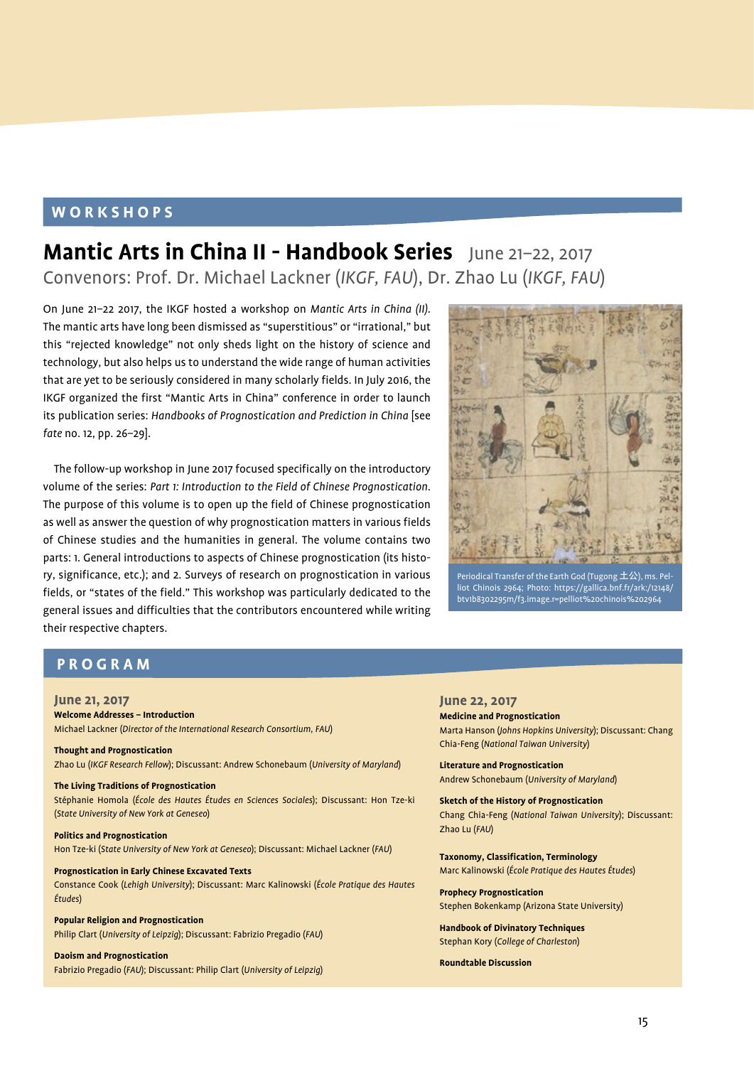#### **WORKSHOPS**

## **Mantic Arts in China II - Handbook Series** June 21–22, 2017 Convenors: Prof. Dr. Michael Lackner (*IKGF, FAU*), Dr. Zhao Lu (*IKGF, FAU*)

On June 21–22 2017, the IKGF hosted a workshop on *Mantic Arts in China (II)*. The mantic arts have long been dismissed as "superstitious" or "irrational," but this "rejected knowledge" not only sheds light on the history of science and technology, but also helps us to understand the wide range of human activities that are yet to be seriously considered in many scholarly fields. In July 2016, the IKGF organized the first "Mantic Arts in China" conference in order to launch its publication series: *Handbooks of Prognostication and Prediction in China* [see *fate* no. 12, pp. 26–29].

The follow-up workshop in June 2017 focused specifically on the introductory volume of the series: *Part 1: Introduction to the Field of Chinese Prognostication*. The purpose of this volume is to open up the field of Chinese prognostication as well as answer the question of why prognostication matters in various fields of Chinese studies and the humanities in general. The volume contains two parts: 1. General introductions to aspects of Chinese prognostication (its history, significance, etc.); and 2. Surveys of research on prognostication in various fields, or "states of the field." This workshop was particularly dedicated to the general issues and difficulties that the contributors encountered while writing their respective chapters.



Periodical Transfer of the Earth God (Tugong  $\pm\mathfrak{L}$ ), ms. Pel liot Chinois 2964; Photo: https://gallica.bnf.fr/ark:/12148/ btv1b8302295m/f3.image.r=pelliot%20chinois%202964

#### **PROGRAM**

**June 21, 2017 Welcome Addresses – Introduction**  Michael Lackner (*Director of the International Research Consortium, FAU*)

**Thought and Prognostication** Zhao Lu (*IKGF Research Fellow*); Discussant: Andrew Schonebaum (*University of Maryland*)

**The Living Traditions of Prognostication**  Stéphanie Homola (*École des Hautes Études en Sciences Sociales*); Discussant: Hon Tze-ki (*State University of New York at Geneseo*)

**Politics and Prognostication** Hon Tze-ki (*State University of New York at Geneseo*); Discussant: Michael Lackner (*FAU*)

**Prognostication in Early Chinese Excavated Texts** Constance Cook (*Lehigh University*); Discussant: Marc Kalinowski (*École Pratique des Hautes Études*)

**Popular Religion and Prognostication** Philip Clart (*University of Leipzig*); Discussant: Fabrizio Pregadio (*FAU*)

#### **Daoism and Prognostication**

Fabrizio Pregadio (*FAU*); Discussant: Philip Clart (*University of Leipzig*)

**June 22, 2017 Medicine and Prognostication**  Marta Hanson (*Johns Hopkins University*); Discussant: Chang Chia-Feng (*National Taiwan University*)

**Literature and Prognostication** Andrew Schonebaum (*University of Maryland*)

**Sketch of the History of Prognostication** Chang Chia-Feng (*National Taiwan University*); Discussant: Zhao Lu (*FAU*)

**Taxonomy, Classification, Terminology**  Marc Kalinowski (*École Pratique des Hautes Études*)

**Prophecy Prognostication** Stephen Bokenkamp (Arizona State University)

**Handbook of Divinatory Techniques** Stephan Kory (*College of Charleston*)

#### **Roundtable Discussion**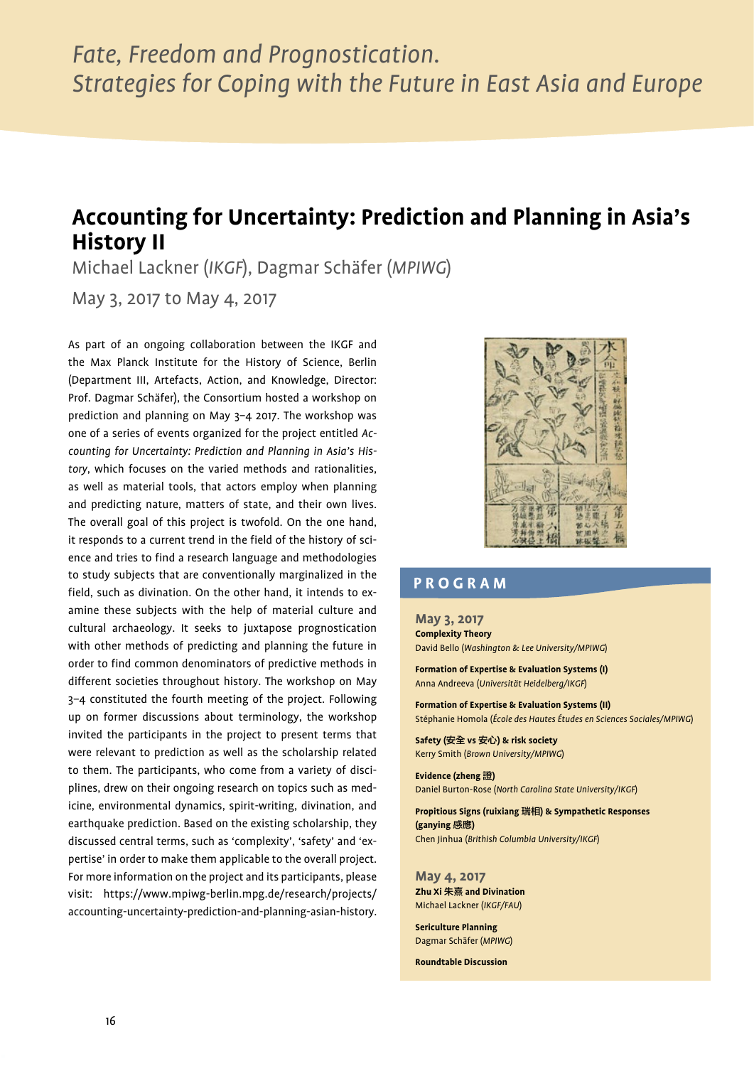## **Accounting for Uncertainty: Prediction and Planning in Asia's History II**

Michael Lackner (*IKGF*), Dagmar Schäfer (*MPIWG*)

May 3, 2017 to May 4, 2017

As part of an ongoing collaboration between the IKGF and the Max Planck Institute for the History of Science, Berlin (Department III, Artefacts, Action, and Knowledge, Director: Prof. Dagmar Schäfer), the Consortium hosted a workshop on prediction and planning on May 3–4 2017. The workshop was one of a series of events organized for the project entitled *Accounting for Uncertainty: Prediction and Planning in Asia's History*, which focuses on the varied methods and rationalities, as well as material tools, that actors employ when planning and predicting nature, matters of state, and their own lives. The overall goal of this project is twofold. On the one hand, it responds to a current trend in the field of the history of science and tries to find a research language and methodologies to study subjects that are conventionally marginalized in the field, such as divination. On the other hand, it intends to examine these subjects with the help of material culture and cultural archaeology. It seeks to juxtapose prognostication with other methods of predicting and planning the future in order to find common denominators of predictive methods in different societies throughout history. The workshop on May 3–4 constituted the fourth meeting of the project. Following up on former discussions about terminology, the workshop invited the participants in the project to present terms that were relevant to prediction as well as the scholarship related to them. The participants, who come from a variety of disciplines, drew on their ongoing research on topics such as medicine, environmental dynamics, spirit-writing, divination, and earthquake prediction. Based on the existing scholarship, they discussed central terms, such as 'complexity', 'safety' and 'expertise' in order to make them applicable to the overall project. For more information on the project and its participants, please visit: https://www.mpiwg-berlin.mpg.de/research/projects/ accounting-uncertainty-prediction-and-planning-asian-history.



#### **PROGRAM**

**May 3, 2017 Complexity Theory** David Bello (*Washington & Lee University/MPIWG*)

**Formation of Expertise & Evaluation Systems (I)** Anna Andreeva (*Universität Heidelberg/IKGF*)

**Formation of Expertise & Evaluation Systems (II)**  Stéphanie Homola (*École des Hautes Études en Sciences Sociales/MPIWG*)

**Safety (**安全 **vs** 安心**) & risk society** Kerry Smith (*Brown University/MPIWG*)

**Evidence (zheng** 證**)** Daniel Burton-Rose (*North Carolina State University/IKGF*)

**Propitious Signs (ruixiang** 瑞相**) & Sympathetic Responses (ganying** 感應**)** Chen Jinhua (*Brithish Columbia University/IKGF*)

**May 4, 2017 Zhu Xi** 朱熹 **and Divination**  Michael Lackner (*IKGF/FAU*)

**Sericulture Planning** Dagmar Schäfer (*MPIWG*)

**Roundtable Discussion**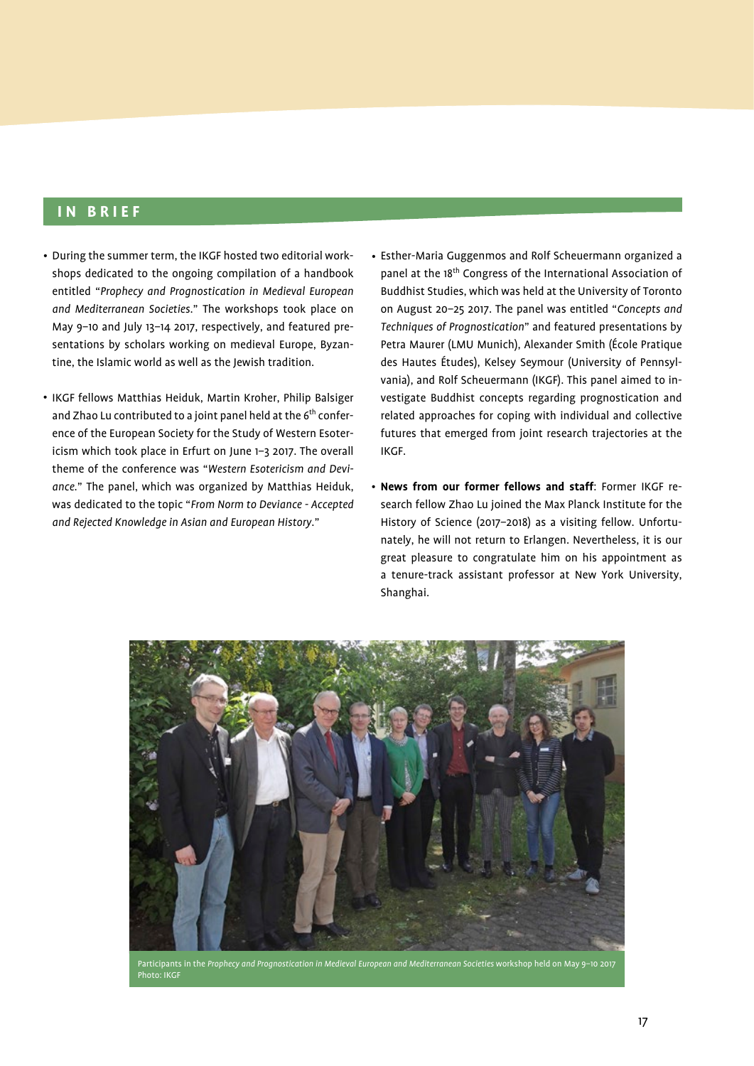#### **IN BRIEF**

- During the summer term, the IKGF hosted two editorial workshops dedicated to the ongoing compilation of a handbook entitled "*Prophecy and Prognostication in Medieval European and Mediterranean Societies*." The workshops took place on May 9–10 and July 13–14 2017, respectively, and featured presentations by scholars working on medieval Europe, Byzantine, the Islamic world as well as the Jewish tradition.
- IKGF fellows Matthias Heiduk, Martin Kroher, Philip Balsiger and Zhao Lu contributed to a joint panel held at the  $6<sup>th</sup>$  conference of the European Society for the Study of Western Esotericism which took place in Erfurt on June 1–3 2017. The overall theme of the conference was "*Western Esotericism and Deviance*." The panel, which was organized by Matthias Heiduk, was dedicated to the topic "*From Norm to Deviance - Accepted and Rejected Knowledge in Asian and European History*."
- Esther-Maria Guggenmos and Rolf Scheuermann organized a •panel at the 18th Congress of the International Association of Buddhist Studies, which was held at the University of Toronto on August 20–25 2017. The panel was entitled "*Concepts and Techniques of Prognostication*" and featured presentations by Petra Maurer (LMU Munich), Alexander Smith (École Pratique des Hautes Études), Kelsey Seymour (University of Pennsylvania), and Rolf Scheuermann (IKGF). This panel aimed to investigate Buddhist concepts regarding prognostication and related approaches for coping with individual and collective futures that emerged from joint research trajectories at the IKGF.
- **News from our former fellows and staff**: Former IKGF re-• search fellow Zhao Lu joined the Max Planck Institute for the History of Science (2017–2018) as a visiting fellow. Unfortunately, he will not return to Erlangen. Nevertheless, it is our great pleasure to congratulate him on his appointment as a tenure-track assistant professor at New York University, Shanghai.



Participants in the Prophecy and Prognostication in Medieval European and Mediterranean Societies workshop held on May 9-10 2017 Photo: IKGF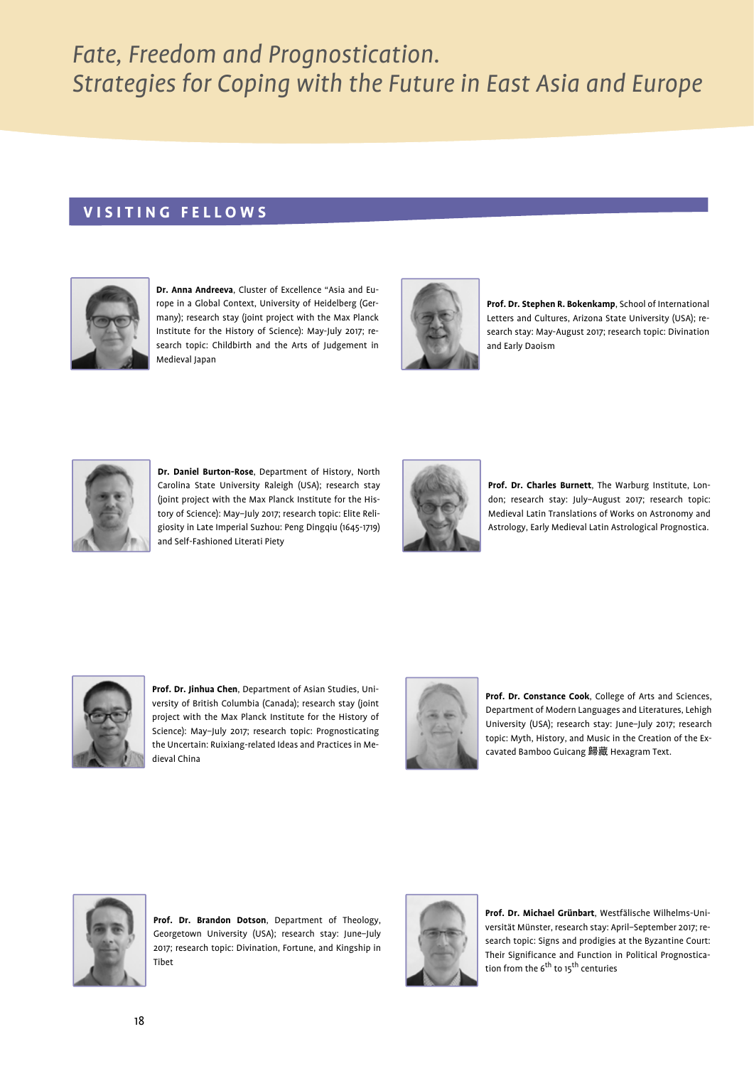#### **VISITING FELLOWS**



**Dr. Anna Andreeva**, Cluster of Excellence "Asia and Europe in a Global Context, University of Heidelberg (Germany); research stay (joint project with the Max Planck Institute for the History of Science): May-July 2017; research topic: Childbirth and the Arts of Judgement in Medieval Japan



**Prof. Dr. Stephen R. Bokenkamp**, School of International Letters and Cultures, Arizona State University (USA); research stay: May-August 2017; research topic: Divination and Early Daoism



**Dr. Daniel Burton-Rose**, Department of History, North Carolina State University Raleigh (USA); research stay (joint project with the Max Planck Institute for the History of Science): May–July 2017; research topic: Elite Religiosity in Late Imperial Suzhou: Peng Dingqiu (1645-1719) and Self-Fashioned Literati Piety



**Prof. Dr. Charles Burnett**, The Warburg Institute, London; research stay: July–August 2017; research topic: Medieval Latin Translations of Works on Astronomy and Astrology, Early Medieval Latin Astrological Prognostica.



**Prof. Dr. Jinhua Chen**, Department of Asian Studies, University of British Columbia (Canada); research stay (joint project with the Max Planck Institute for the History of Science): May–July 2017; research topic: Prognosticating the Uncertain: Ruixiang-related Ideas and Practices in Medieval China



**Prof. Dr. Constance Cook**, College of Arts and Sciences, Department of Modern Languages and Literatures, Lehigh University (USA); research stay: June–July 2017; research topic: Myth, History, and Music in the Creation of the Excavated Bamboo Guicang 歸藏 Hexagram Text.



**Prof. Dr. Brandon Dotson**, Department of Theology, Georgetown University (USA); research stay: June–July 2017; research topic: Divination, Fortune, and Kingship in Tibet



**Prof. Dr. Michael Grünbart**, Westfälische Wilhelms-Universität Münster, research stay: April–September 2017; research topic: Signs and prodigies at the Byzantine Court: Their Significance and Function in Political Prognostication from the 6<sup>th</sup> to 15<sup>th</sup> centuries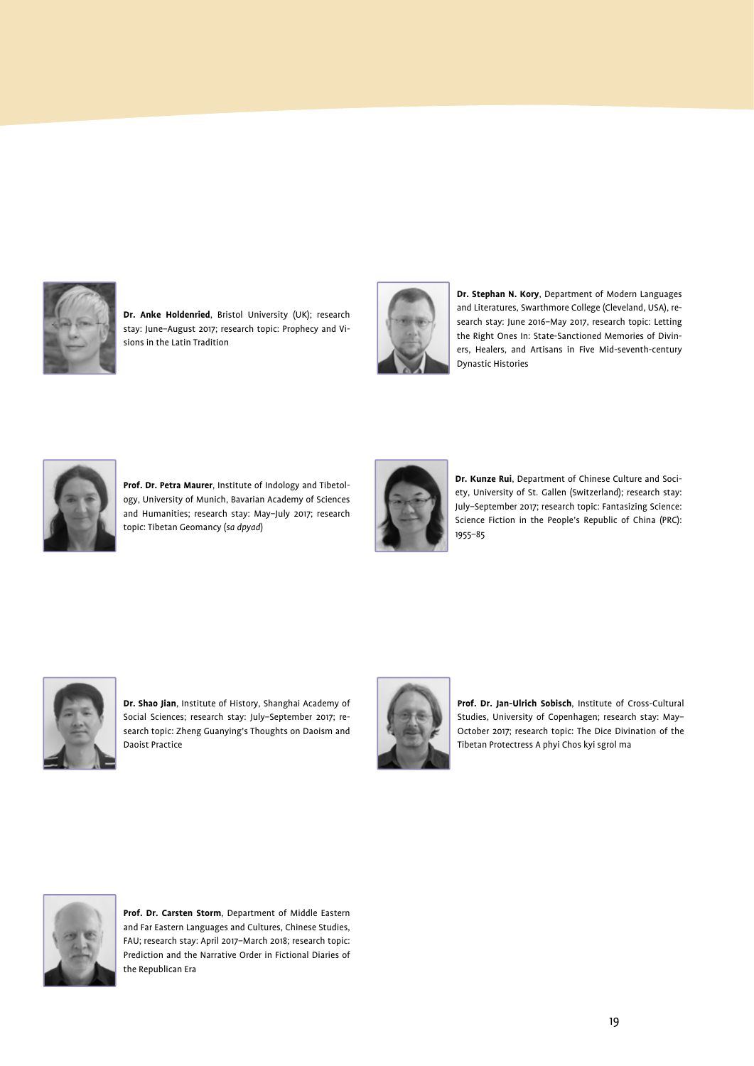

**Dr. Anke Holdenried**, Bristol University (UK); research stay: June–August 2017; research topic: Prophecy and Visions in the Latin Tradition



**Dr. Stephan N. Kory**, Department of Modern Languages and Literatures, Swarthmore College (Cleveland, USA), research stay: June 2016–May 2017, research topic: Letting the Right Ones In: State-Sanctioned Memories of Diviners, Healers, and Artisans in Five Mid-seventh-century Dynastic Histories



**Prof. Dr. Petra Maurer**, Institute of Indology and Tibetology, University of Munich, Bavarian Academy of Sciences and Humanities; research stay: May–July 2017; research topic: Tibetan Geomancy (*sa dpyad*)



**Dr. Kunze Rui**, Department of Chinese Culture and Society, University of St. Gallen (Switzerland); research stay: July–September 2017; research topic: Fantasizing Science: Science Fiction in the People's Republic of China (PRC): 1955–85



**Dr. Shao Jian**, Institute of History, Shanghai Academy of Social Sciences; research stay: July–September 2017; research topic: Zheng Guanying's Thoughts on Daoism and Daoist Practice



**Prof. Dr. Jan-Ulrich Sobisch**, Institute of Cross-Cultural Studies, University of Copenhagen; research stay: May– October 2017; research topic: The Dice Divination of the Tibetan Protectress A phyi Chos kyi sgrol ma



**Prof. Dr. Carsten Storm**, Department of Middle Eastern and Far Eastern Languages and Cultures, Chinese Studies, FAU; research stay: April 2017–March 2018; research topic: Prediction and the Narrative Order in Fictional Diaries of the Republican Era